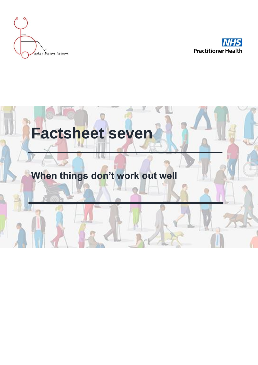



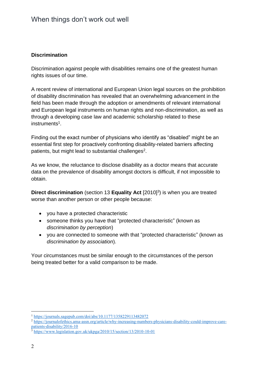### **Discrimination**

Discrimination against people with disabilities remains one of the greatest human rights issues of our time.

A recent review of international and European Union legal sources on the prohibition of disability discrimination has revealed that an overwhelming advancement in the field has been made through the adoption or amendments of relevant international and European legal instruments on human rights and non-discrimination, as well as through a developing case law and academic scholarship related to these instruments<sup>1</sup>.

Finding out the exact number of physicians who identify as "disabled" might be an essential first step for proactively confronting disability-related barriers affecting patients, but might lead to substantial challenges<sup>2</sup>.

As we know, the reluctance to disclose disability as a doctor means that accurate data on the prevalence of disability amongst doctors is difficult, if not impossible to obtain.

**Direct discrimination** (section 13 **Equality Act** [2010]<sup>3</sup>) is when you are treated worse than another person or other people because:

- you have a protected characteristic
- someone thinks you have that "protected characteristic" (known as *discrimination by perception*)
- you are connected to someone with that "protected characteristic" (known as *discrimination by association*).

Your circumstances must be similar enough to the circumstances of the person being treated better for a valid comparison to be made.

<sup>1</sup> <https://journals.sagepub.com/doi/abs/10.1177/1358229113482072>

<sup>&</sup>lt;sup>2</sup> [https://journalofethics.ama-assn.org/article/why-increasing-numbers-physicians-disability-could-improve-care](https://journalofethics.ama-assn.org/article/why-increasing-numbers-physicians-disability-could-improve-care-patients-disability/2016-10)[patients-disability/2016-10](https://journalofethics.ama-assn.org/article/why-increasing-numbers-physicians-disability-could-improve-care-patients-disability/2016-10)

 $3$  <https://www.legislation.gov.uk/ukpga/2010/15/section/13/2010-10-01>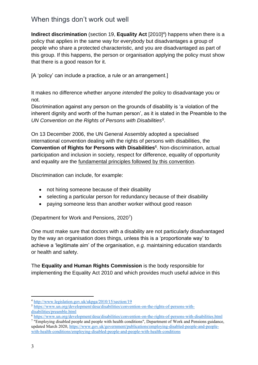**Indirect discrimination** (section 19, **Equality Act** [2010]<sup>4</sup>) happens when there is a policy that applies in the same way for everybody but disadvantages a group of people who share a protected characteristic, and you are disadvantaged as part of this group. If this happens, the person or organisation applying the policy must show that there is a good reason for it.

[A 'policy' can include a practice, a rule or an arrangement.]

It makes no difference whether anyone *intended* the policy to disadvantage you or not.

Discrimination against any person on the grounds of disability is 'a violation of the inherent dignity and worth of the human person', as it is stated in the Preamble to the *UN Convention on the Rights of Persons with Disabilities<sup>5</sup>* .

On 13 December 2006, the UN General Assembly adopted a specialised international convention dealing with the rights of persons with disabilities, the **Convention of Rights for Persons with Disabilities**<sup>6</sup>. Non-discrimination, actual participation and inclusion in society, respect for difference, equality of opportunity and equality are the fundamental principles followed by this convention.

Discrimination can include, for example:

- not hiring someone because of their disability
- selecting a particular person for redundancy because of their disability
- paying someone less than another worker without good reason

(Department for Work and Pensions, 2020<sup>7</sup>)

One must make sure that doctors with a disability are not particularly disadvantaged by the way an organisation does things, unless this is a 'proportionate way' to achieve a 'legitimate aim' of the organisation, *e.g.* maintaining education standards or health and safety.

The **Equality and Human Rights Commission** is the body responsible for implementing the Equality Act 2010 and which provides much useful advice in this

<sup>4</sup> <http://www.legislation.gov.uk/ukpga/2010/15/section/19>

<sup>5</sup> [https://www.un.org/development/desa/disabilities/convention-on-the-rights-of-persons-with](https://www.un.org/development/desa/disabilities/convention-on-the-rights-of-persons-with-disabilities/preamble.html)[disabilities/preamble.html](https://www.un.org/development/desa/disabilities/convention-on-the-rights-of-persons-with-disabilities/preamble.html)

 $\overline{6}$  <https://www.un.org/development/desa/disabilities/convention-on-the-rights-of-persons-with-disabilities.html> 7 "Employing disabled people and people with health conditions", Department of Work and Pensions guidance,

updated March 2020, [https://www.gov.uk/government/publications/employing-disabled-people-and-people](https://www.gov.uk/government/publications/employing-disabled-people-and-people-with-health-conditions/employing-disabled-people-and-people-with-health-conditions)[with-health-conditions/employing-disabled-people-and-people-with-health-conditions](https://www.gov.uk/government/publications/employing-disabled-people-and-people-with-health-conditions/employing-disabled-people-and-people-with-health-conditions)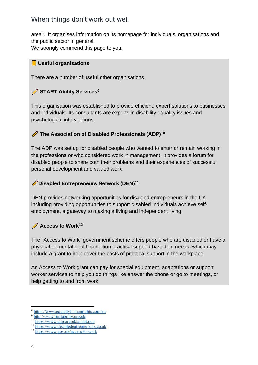area<sup>8</sup>. It organises information on its homepage for individuals, organisations and the public sector in general.

We strongly commend this page to you.

### **Useful organisations**

There are a number of useful other organisations.

## **START Ability Services<sup>9</sup>**

This organisation was established to provide efficient, expert solutions to businesses and individuals. Its consultants are experts in disability equality issues and psychological interventions.

## **The Association of Disabled Professionals (ADP)<sup>10</sup>**

The ADP was set up for disabled people who wanted to enter or remain working in the professions or who considered work in management. It provides a forum for disabled people to share both their problems and their experiences of successful personal development and valued work

## **Disabled Entrepreneurs Network (DEN)<sup>11</sup>**

DEN provides networking opportunities for disabled entrepreneurs in the UK, including providing opportunities to support disabled individuals achieve selfemployment, a gateway to making a living and independent living.

## **Access to Work<sup>12</sup>**

The "Access to Work" government scheme offers people who are disabled or have a physical or mental health condition practical support based on needs, which may include a grant to help cover the costs of practical support in the workplace.

An Access to Work grant can pay for special equipment, adaptations or support worker services to help you do things like answer the phone or go to meetings, or help getting to and from work.

<sup>8</sup> <https://www.equalityhumanrights.com/en>

<sup>9</sup> [http://www.startability.org.uk](http://www.startability.org.uk/)

<sup>10</sup> <https://www.adp.org.uk/about.php>

<sup>11</sup> [https://www.disabledentrepreneurs.co.uk](https://www.disabledentrepreneurs.co.uk/)

<sup>12</sup> <https://www.gov.uk/access-to-work>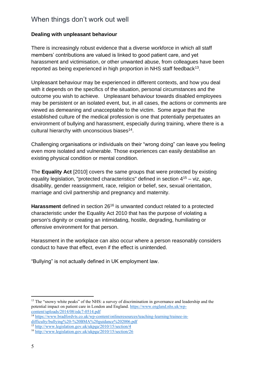### **Dealing with unpleasant behaviour**

There is increasingly robust evidence that a diverse workforce in which all staff members' contributions are valued is linked to good patient care, and yet harassment and victimisation, or other unwanted abuse, from colleagues have been reported as being experienced in high proportion in NHS staff feedback $^{13}$ .

Unpleasant behaviour may be experienced in different contexts, and how you deal with it depends on the specifics of the situation, personal circumstances and the outcome you wish to achieve. Unpleasant behaviour towards disabled employees may be persistent or an isolated event, but, in all cases, the actions or comments are viewed as demeaning and unacceptable to the victim. Some argue that the established culture of the medical profession is one that potentially perpetuates an environment of bullying and harassment, especially during training, where there is a cultural hierarchy with unconscious biases<sup>14</sup>.

Challenging organisations or individuals on their "wrong doing" can leave you feeling even more isolated and vulnerable. Those experiences can easily destabilise an existing physical condition or mental condition.

The **Equality Act** [2010] covers the same groups that were protected by existing equality legislation, "protected characteristics" defined in section 4<sup>15</sup> – viz, age, disability, gender reassignment, race, religion or belief, sex, sexual orientation, marriage and civil partnership and pregnancy and maternity.

**Harassment** defined in section 26<sup>16</sup> is unwanted conduct related to a protected characteristic under the Equality Act 2010 that has the purpose of violating a person's dignity or creating an intimidating, hostile, degrading, humiliating or offensive environment for that person.

Harassment in the workplace can also occur where a person reasonably considers conduct to have that effect, even if the effect is unintended.

"Bullying" is not actually defined in UK employment law.

<sup>&</sup>lt;sup>13</sup> The "snowy white peaks" of the NHS: a survey of discrimination in governance and leadership and the potential impact on patient care in London and England. [https://www.england.nhs.uk/wp](https://www.england.nhs.uk/wp-content/uploads/2014/08/edc7-0514.pdf)[content/uploads/2014/08/edc7-0514.pdf](https://www.england.nhs.uk/wp-content/uploads/2014/08/edc7-0514.pdf)

<sup>&</sup>lt;sup>14</sup> [https://www.bradfordvts.co.uk/wp-content/onlineresources/teaching-learning/trainee-in](https://www.bradfordvts.co.uk/wp-content/onlineresources/teaching-learning/trainee-in-difficulty/bullying%20-%20BMA%20guidance%202006.pdf)[difficulty/bullying%20-%20BMA%20guidance%202006.pdf](https://www.bradfordvts.co.uk/wp-content/onlineresources/teaching-learning/trainee-in-difficulty/bullying%20-%20BMA%20guidance%202006.pdf)

<sup>15</sup> <http://www.legislation.gov.uk/ukpga/2010/15/section/4>

<sup>16</sup> <http://www.legislation.gov.uk/ukpga/2010/15/section/26>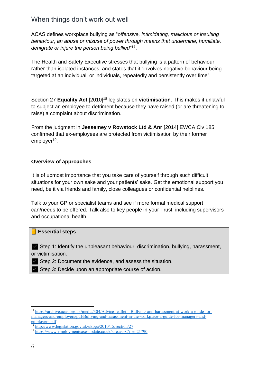ACAS defines workplace bullying as "*offensive, intimidating, malicious or insulting behaviour, an abuse or misuse of power through means that undermine, humiliate, denigrate or injure the person being bullied*" 17 .

The Health and Safety Executive stresses that bullying is a pattern of behaviour rather than isolated instances, and states that it "involves negative behaviour being targeted at an individual, or individuals, repeatedly and persistently over time".

Section 27 **Equality Act** [2010]<sup>18</sup> legislates on **victimisation**. This makes it unlawful to subject an employee to detriment because they have raised (or are threatening to raise) a complaint about discrimination.

From the judgment in **Jessemey v Rowstock Ltd & Anr** [2014] EWCA Civ 185 confirmed that ex-employees are protected from victimisation by their former employer<sup>19</sup>.

#### **Overview of approaches**

It is of upmost importance that you take care of yourself through such difficult situations for your own sake and your patients' sake. Get the emotional support you need, be it via friends and family, close colleagues or confidential helplines.

Talk to your GP or specialist teams and see if more formal medical support can/needs to be offered. Talk also to key people in your Trust, including supervisors and occupational health.

#### **Essential steps**

 $\blacktriangleright$  Step 1: Identify the unpleasant behaviour: discrimination, bullying, harassment, or victimisation.

✅ Step 2: Document the evidence, and assess the situation.

✅ Step 3: Decide upon an appropriate course of action.

<sup>17</sup> [https://archive.acas.org.uk/media/304/Advice-leaflet---Bullying-and-harassment-at-work-a-guide-for](https://archive.acas.org.uk/media/304/Advice-leaflet---Bullying-and-harassment-at-work-a-guide-for-managers-and-employers/pdf/Bullying-and-harassment-in-the-workplace-a-guide-for-managers-and-employers.pdf)[managers-and-employers/pdf/Bullying-and-harassment-in-the-workplace-a-guide-for-managers-and](https://archive.acas.org.uk/media/304/Advice-leaflet---Bullying-and-harassment-at-work-a-guide-for-managers-and-employers/pdf/Bullying-and-harassment-in-the-workplace-a-guide-for-managers-and-employers.pdf)[employers.pdf](https://archive.acas.org.uk/media/304/Advice-leaflet---Bullying-and-harassment-at-work-a-guide-for-managers-and-employers/pdf/Bullying-and-harassment-in-the-workplace-a-guide-for-managers-and-employers.pdf)

<sup>18</sup> <http://www.legislation.gov.uk/ukpga/2010/15/section/27>

<sup>19</sup> <https://www.employmentcasesupdate.co.uk/site.aspx?i=ed21790>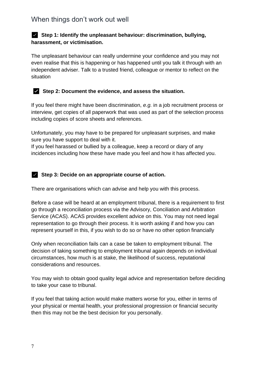## ✅ **Step 1: Identify the unpleasant behaviour: discrimination, bullying, harassment, or victimisation.**

The unpleasant behaviour can really undermine your confidence and you may not even realise that this is happening or has happened until you talk it through with an independent adviser. Talk to a trusted friend, colleague or mentor to reflect on the situation



## ✅ **Step 2: Document the evidence, and assess the situation.**

If you feel there might have been discrimination, *e.g.* in a job recruitment process or interview, get copies of all paperwork that was used as part of the selection process including copies of score sheets and references.

Unfortunately, you may have to be prepared for unpleasant surprises, and make sure you have support to deal with it.

If you feel harassed or bullied by a colleague, keep a record or diary of any incidences including how these have made you feel and how it has affected you.

### ✅ **Step 3: Decide on an appropriate course of action.**

There are organisations which can advise and help you with this process.

Before a case will be heard at an employment tribunal, there is a requirement to first go through a reconciliation process via the Advisory, Conciliation and Arbitration Service (ACAS). ACAS provides excellent advice on this. You may not need legal representation to go through their process. It is worth asking if and how you can represent yourself in this, if you wish to do so or have no other option financially

Only when reconciliation fails can a case be taken to employment tribunal. The decision of taking something to employment tribunal again depends on individual circumstances, how much is at stake, the likelihood of success, reputational considerations and resources.

You may wish to obtain good quality legal advice and representation before deciding to take your case to tribunal.

If you feel that taking action would make matters worse for you, either in terms of your physical or mental health, your professional progression or financial security then this may not be the best decision for you personally.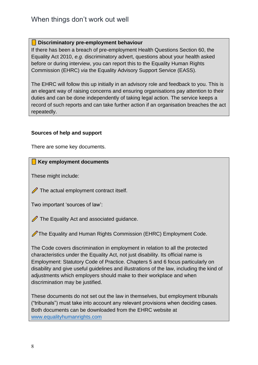### **Discriminatory pre-employment behaviour**

If there has been a breach of pre-employment Health Questions Section 60, the Equality Act 2010, *e.g.* discriminatory advert, questions about your health asked before or during interview, you can report this to the Equality Human Rights Commission (EHRC) *via* the Equality Advisory Support Service (EASS).

The EHRC will follow this up initially in an advisory role and feedback to you. This is an elegant way of raising concerns and ensuring organisations pay attention to their duties and can be done independently of taking legal action. The service keeps a record of such reports and can take further action if an organisation breaches the act repeatedly.

### **Sources of help and support**

There are some key documents.

### **Key employment documents**

These might include:

 $\mathscr X$  The actual employment contract itself.

Two important 'sources of law':

 $\mathscr X$  The Equality Act and associated guidance.

The Equality and Human Rights Commission (EHRC) Employment Code.

The Code covers discrimination in employment in relation to all the protected characteristics under the Equality Act, not just disability. Its official name is Employment: Statutory Code of Practice. Chapters 5 and 6 focus particularly on disability and give useful guidelines and illustrations of the law, including the kind of adjustments which employers should make to their workplace and when discrimination may be justified.

These documents do not set out the law in themselves, but employment tribunals ("tribunals") must take into account any relevant provisions when deciding cases. Both documents can be downloaded from the EHRC website at [www.equalityhumanrights.com](http://www.equalityhumanrights.com/)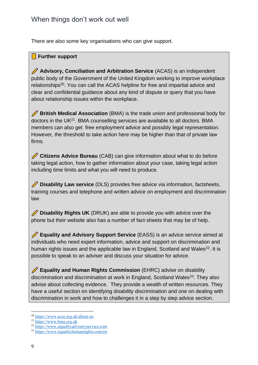There are also some key organisations who can give support.

## **Further support**

 **Advisory, Conciliation and Arbitration Service** (ACAS) is an independent public body of the Government of the United Kingdom working to improve workplace relationships<sup>20</sup>. You can call the ACAS helpline for free and impartial advice and clear and confidential guidance about any kind of dispute or query that you have about relationship issues within the workplace.

**British Medical Association** (BMA) is the trade union and professional body for doctors in the UK<sup>21</sup>. BMA counselling services are available to all doctors. BMA members can also get free employment advice and possibly legal representation. However, the threshold to take action here may be higher than that of private law firms.

 **Citizens Advice Bureau** (CAB) can give information about what to do before taking legal action, how to gather information about your case, taking legal action including time limits and what you will need to produce.

**Disability Law service** (DLS) provides free advice via information, factsheets, training courses and telephone and written advice on employment and discrimination law

**Disability Rights UK** (DRUK) are able to provide you with advice over the phone but their website also has a number of fact-sheets that may be of help.

 **Equality and Advisory Support Service** (EASS) is an advice service aimed at individuals who need expert information, advice and support on discrimination and human rights issues and the applicable law in England, Scotland and Wales<sup>22</sup>. It is possible to speak to an adviser and discuss your situation for advice.

 **Equality and Human Rights Commission** (EHRC) advise on disability discrimination and discrimination at work in England, Scotland Wales<sup>23</sup>. They also advise about collecting evidence. They provide a wealth of written resources. They have a useful section on identifying disability discrimination and one on dealing with discrimination in work and how to challenges it in a step by step advice section.

<sup>20</sup> <https://www.acas.org.uk/about-us>

<sup>21</sup> [https://www.bma.org.uk](https://www.bma.org.uk/)

<sup>22</sup> [https://www.equalityadvisoryservice.com](https://www.equalityadvisoryservice.com/)

<sup>23</sup> <https://www.equalityhumanrights.com/en>